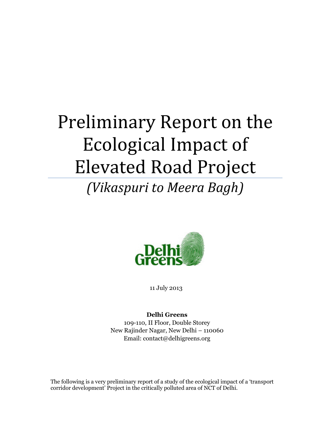## Preliminary Report on the Ecological Impact of Elevated Road Project

## *(Vikaspuri to Meera Bagh)*



11 July 2013

**Delhi Greens** 109-110, II Floor, Double Storey New Rajinder Nagar, New Delhi – 110060 Email: contact@delhigreens.org

The following is a very preliminary report of a study of the ecological impact of a 'transport corridor development' Project in the critically polluted area of NCT of Delhi.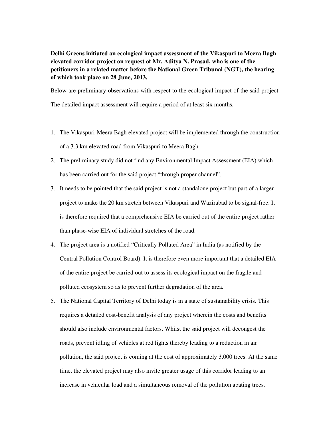**Delhi Greens initiated an ecological impact assessment of the Vikaspuri to Meera Bagh elevated corridor project on request of Mr. Aditya N. Prasad, who is one of the petitioners in a related matter before the National Green Tribunal (NGT), the hearing of which took place on 28 June, 2013.** 

Below are preliminary observations with respect to the ecological impact of the said project.

The detailed impact assessment will require a period of at least six months.

- 1. The Vikaspuri-Meera Bagh elevated project will be implemented through the construction of a 3.3 km elevated road from Vikaspuri to Meera Bagh.
- 2. The preliminary study did not find any Environmental Impact Assessment (EIA) which has been carried out for the said project "through proper channel".
- 3. It needs to be pointed that the said project is not a standalone project but part of a larger project to make the 20 km stretch between Vikaspuri and Wazirabad to be signal-free. It is therefore required that a comprehensive EIA be carried out of the entire project rather than phase-wise EIA of individual stretches of the road.
- 4. The project area is a notified "Critically Polluted Area" in India (as notified by the Central Pollution Control Board). It is therefore even more important that a detailed EIA of the entire project be carried out to assess its ecological impact on the fragile and polluted ecosystem so as to prevent further degradation of the area.
- 5. The National Capital Territory of Delhi today is in a state of sustainability crisis. This requires a detailed cost-benefit analysis of any project wherein the costs and benefits should also include environmental factors. Whilst the said project will decongest the roads, prevent idling of vehicles at red lights thereby leading to a reduction in air pollution, the said project is coming at the cost of approximately 3,000 trees. At the same time, the elevated project may also invite greater usage of this corridor leading to an increase in vehicular load and a simultaneous removal of the pollution abating trees.